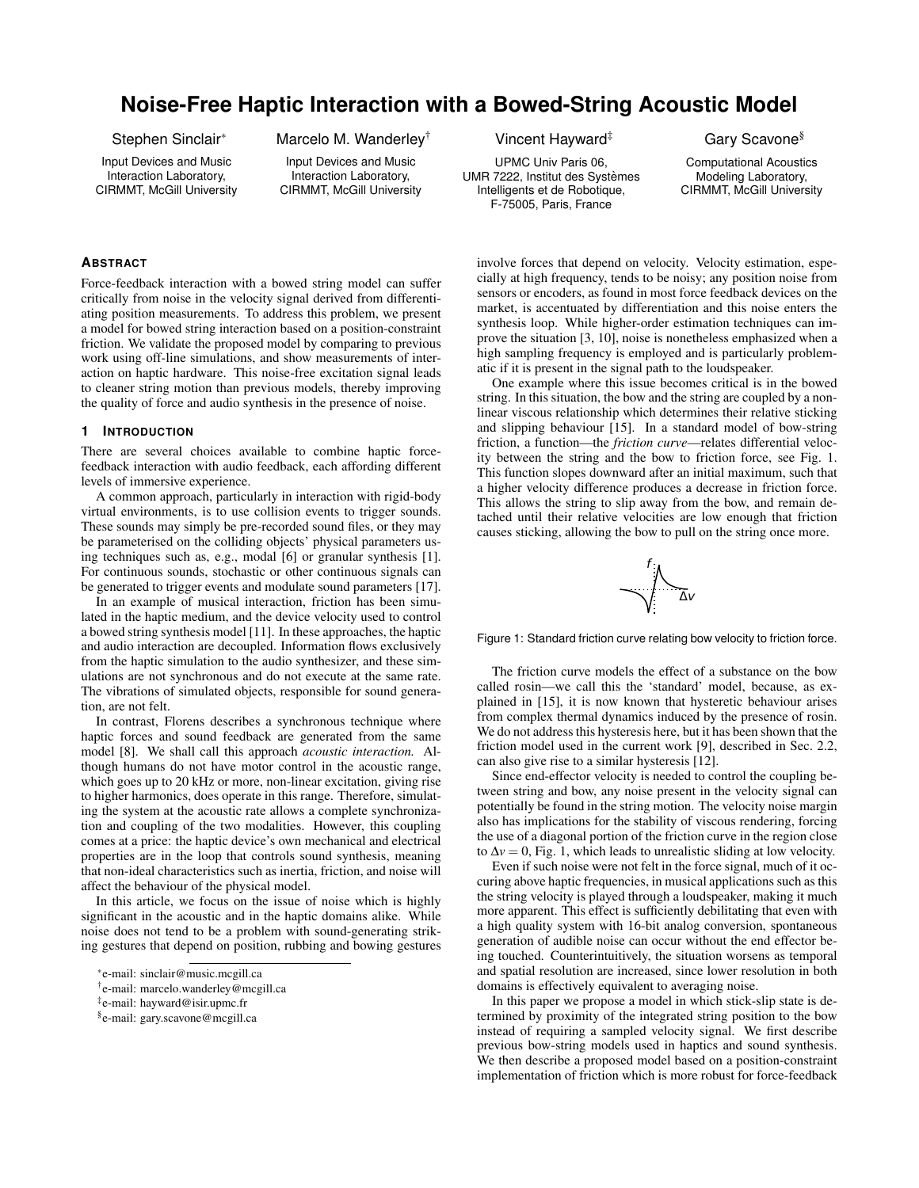# **Noise-Free Haptic Interaction with a Bowed-String Acoustic Model**

Stephen Sinclair<sup>∗</sup>

Input Devices and Music Interaction Laboratory, CIRMMT, McGill University Marcelo M. Wanderley†

Input Devices and Music Interaction Laboratory, CIRMMT, McGill University

# **ABSTRACT**

Force-feedback interaction with a bowed string model can suffer critically from noise in the velocity signal derived from differentiating position measurements. To address this problem, we present a model for bowed string interaction based on a position-constraint friction. We validate the proposed model by comparing to previous work using off-line simulations, and show measurements of interaction on haptic hardware. This noise-free excitation signal leads to cleaner string motion than previous models, thereby improving the quality of force and audio synthesis in the presence of noise.

#### **1 INTRODUCTION**

There are several choices available to combine haptic forcefeedback interaction with audio feedback, each affording different levels of immersive experience.

A common approach, particularly in interaction with rigid-body virtual environments, is to use collision events to trigger sounds. These sounds may simply be pre-recorded sound files, or they may be parameterised on the colliding objects' physical parameters using techniques such as, e.g., modal [6] or granular synthesis [1]. For continuous sounds, stochastic or other continuous signals can be generated to trigger events and modulate sound parameters [17].

In an example of musical interaction, friction has been simulated in the haptic medium, and the device velocity used to control a bowed string synthesis model [11]. In these approaches, the haptic and audio interaction are decoupled. Information flows exclusively from the haptic simulation to the audio synthesizer, and these simulations are not synchronous and do not execute at the same rate. The vibrations of simulated objects, responsible for sound generation, are not felt.

In contrast, Florens describes a synchronous technique where haptic forces and sound feedback are generated from the same model [8]. We shall call this approach *acoustic interaction.* Although humans do not have motor control in the acoustic range, which goes up to 20 kHz or more, non-linear excitation, giving rise to higher harmonics, does operate in this range. Therefore, simulating the system at the acoustic rate allows a complete synchronization and coupling of the two modalities. However, this coupling comes at a price: the haptic device's own mechanical and electrical properties are in the loop that controls sound synthesis, meaning that non-ideal characteristics such as inertia, friction, and noise will affect the behaviour of the physical model.

In this article, we focus on the issue of noise which is highly significant in the acoustic and in the haptic domains alike. While noise does not tend to be a problem with sound-generating striking gestures that depend on position, rubbing and bowing gestures Vincent Hayward<sup>‡</sup>

UPMC Univ Paris 06, UMR 7222, Institut des Systèmes Intelligents et de Robotique, F-75005, Paris, France

Gary Scavone§

Computational Acoustics Modeling Laboratory, CIRMMT, McGill University

involve forces that depend on velocity. Velocity estimation, especially at high frequency, tends to be noisy; any position noise from sensors or encoders, as found in most force feedback devices on the market, is accentuated by differentiation and this noise enters the synthesis loop. While higher-order estimation techniques can improve the situation [3, 10], noise is nonetheless emphasized when a high sampling frequency is employed and is particularly problematic if it is present in the signal path to the loudspeaker.

One example where this issue becomes critical is in the bowed string. In this situation, the bow and the string are coupled by a nonlinear viscous relationship which determines their relative sticking and slipping behaviour [15]. In a standard model of bow-string friction, a function—the *friction curve*—relates differential velocity between the string and the bow to friction force, see Fig. 1. This function slopes downward after an initial maximum, such that a higher velocity difference produces a decrease in friction force. This allows the string to slip away from the bow, and remain detached until their relative velocities are low enough that friction causes sticking, allowing the bow to pull on the string once more.



Figure 1: Standard friction curve relating bow velocity to friction force.

The friction curve models the effect of a substance on the bow called rosin—we call this the 'standard' model, because, as explained in [15], it is now known that hysteretic behaviour arises from complex thermal dynamics induced by the presence of rosin. We do not address this hysteresis here, but it has been shown that the friction model used in the current work [9], described in Sec. 2.2, can also give rise to a similar hysteresis [12].

Since end-effector velocity is needed to control the coupling between string and bow, any noise present in the velocity signal can potentially be found in the string motion. The velocity noise margin also has implications for the stability of viscous rendering, forcing the use of a diagonal portion of the friction curve in the region close to  $\Delta v = 0$ , Fig. 1, which leads to unrealistic sliding at low velocity.

Even if such noise were not felt in the force signal, much of it occuring above haptic frequencies, in musical applications such as this the string velocity is played through a loudspeaker, making it much more apparent. This effect is sufficiently debilitating that even with a high quality system with 16-bit analog conversion, spontaneous generation of audible noise can occur without the end effector being touched. Counterintuitively, the situation worsens as temporal and spatial resolution are increased, since lower resolution in both domains is effectively equivalent to averaging noise.

In this paper we propose a model in which stick-slip state is determined by proximity of the integrated string position to the bow instead of requiring a sampled velocity signal. We first describe previous bow-string models used in haptics and sound synthesis. We then describe a proposed model based on a position-constraint implementation of friction which is more robust for force-feedback

<sup>∗</sup> e-mail: sinclair@music.mcgill.ca

<sup>†</sup> e-mail: marcelo.wanderley@mcgill.ca

<sup>‡</sup> e-mail: hayward@isir.upmc.fr

<sup>§</sup> e-mail: gary.scavone@mcgill.ca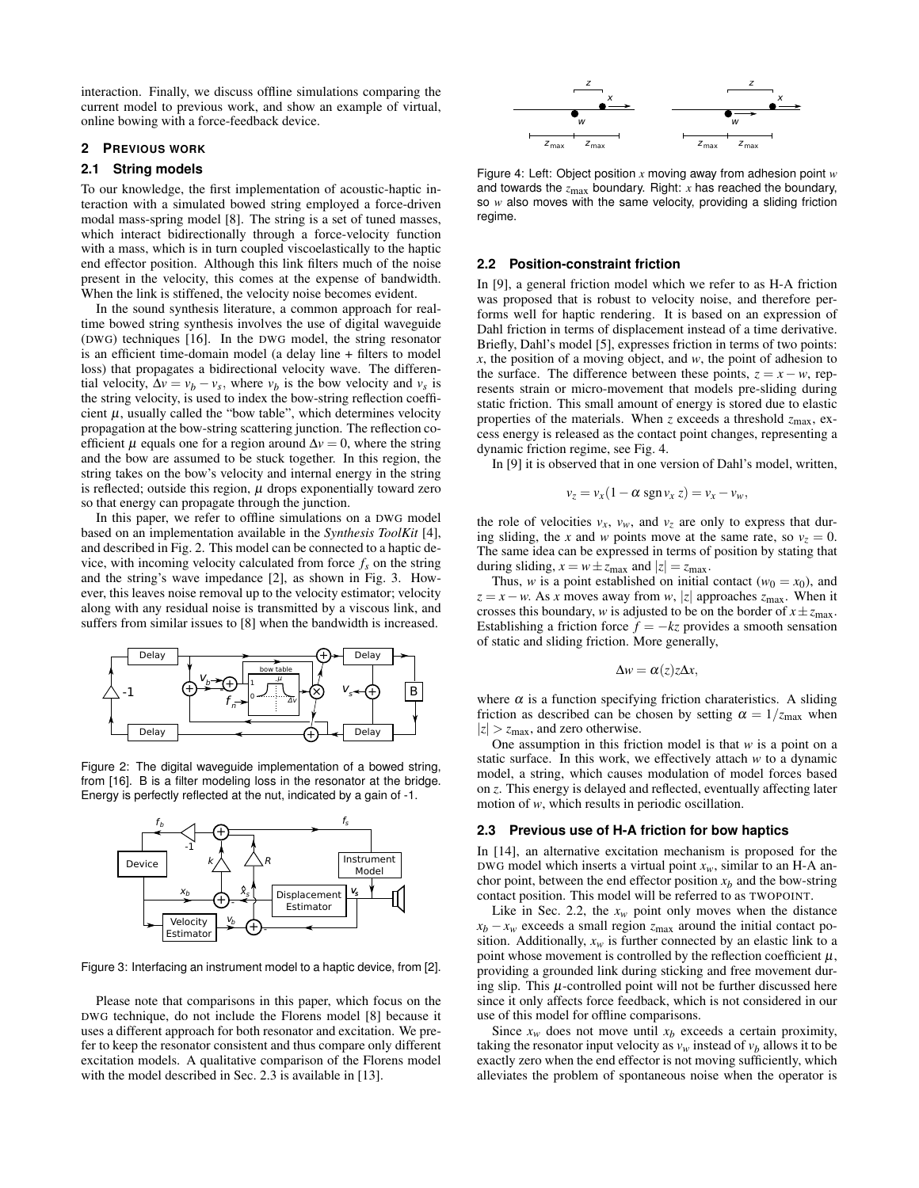interaction. Finally, we discuss offline simulations comparing the current model to previous work, and show an example of virtual, online bowing with a force-feedback device.

# **2 PREVIOUS WORK**

#### **2.1 String models**

To our knowledge, the first implementation of acoustic-haptic interaction with a simulated bowed string employed a force-driven modal mass-spring model [8]. The string is a set of tuned masses, which interact bidirectionally through a force-velocity function with a mass, which is in turn coupled viscoelastically to the haptic end effector position. Although this link filters much of the noise present in the velocity, this comes at the expense of bandwidth. When the link is stiffened, the velocity noise becomes evident.

In the sound synthesis literature, a common approach for realtime bowed string synthesis involves the use of digital waveguide (DWG) techniques [16]. In the DWG model, the string resonator is an efficient time-domain model (a delay line + filters to model loss) that propagates a bidirectional velocity wave. The differential velocity,  $\Delta v = v_b - v_s$ , where  $v_b$  is the bow velocity and  $v_s$  is the string velocity, is used to index the bow-string reflection coefficient  $\mu$ , usually called the "bow table", which determines velocity propagation at the bow-string scattering junction. The reflection coefficient  $\mu$  equals one for a region around  $\Delta v = 0$ , where the string and the bow are assumed to be stuck together. In this region, the string takes on the bow's velocity and internal energy in the string is reflected; outside this region,  $\mu$  drops exponentially toward zero so that energy can propagate through the junction.

In this paper, we refer to offline simulations on a DWG model based on an implementation available in the *Synthesis ToolKit* [4], and described in Fig. 2. This model can be connected to a haptic device, with incoming velocity calculated from force  $f_s$  on the string and the string's wave impedance [2], as shown in Fig. 3. However, this leaves noise removal up to the velocity estimator; velocity along with any residual noise is transmitted by a viscous link, and suffers from similar issues to [8] when the bandwidth is increased.



Figure 2: The digital waveguide implementation of a bowed string, from [16]. B is a filter modeling loss in the resonator at the bridge. Energy is perfectly reflected at the nut, indicated by a gain of -1.



Figure 3: Interfacing an instrument model to a haptic device, from [2].

Please note that comparisons in this paper, which focus on the DWG technique, do not include the Florens model [8] because it uses a different approach for both resonator and excitation. We prefer to keep the resonator consistent and thus compare only different excitation models. A qualitative comparison of the Florens model with the model described in Sec. 2.3 is available in [13].



Figure 4: Left: Object position *x* moving away from adhesion point *w* and towards the *z*max boundary. Right: *x* has reached the boundary, so *w* also moves with the same velocity, providing a sliding friction regime.

#### **2.2 Position-constraint friction**

In [9], a general friction model which we refer to as H-A friction was proposed that is robust to velocity noise, and therefore performs well for haptic rendering. It is based on an expression of Dahl friction in terms of displacement instead of a time derivative. Briefly, Dahl's model [5], expresses friction in terms of two points: *x*, the position of a moving object, and *w*, the point of adhesion to the surface. The difference between these points,  $z = x - w$ , represents strain or micro-movement that models pre-sliding during static friction. This small amount of energy is stored due to elastic properties of the materials. When *z* exceeds a threshold *z*max, excess energy is released as the contact point changes, representing a dynamic friction regime, see Fig. 4.

In [9] it is observed that in one version of Dahl's model, written,

$$
v_z = v_x(1 - \alpha \operatorname{sgn} v_x z) = v_x - v_w,
$$

the role of velocities  $v_x$ ,  $v_w$ , and  $v_z$  are only to express that during sliding, the *x* and *w* points move at the same rate, so  $v_z = 0$ . The same idea can be expressed in terms of position by stating that during sliding,  $x = w \pm z_{\text{max}}$  and  $|z| = z_{\text{max}}$ .

Thus, *w* is a point established on initial contact ( $w_0 = x_0$ ), and  $z = x - w$ . As *x* moves away from *w*, |*z*| approaches *z*<sub>max</sub>. When it crosses this boundary, *w* is adjusted to be on the border of  $x \pm z_{\text{max}}$ . Establishing a friction force  $f = -kz$  provides a smooth sensation of static and sliding friction. More generally,

$$
\Delta w = \alpha(z) z \Delta x,
$$

where  $\alpha$  is a function specifying friction charateristics. A sliding friction as described can be chosen by setting  $\alpha = 1/z_{\text{max}}$  when  $|z| > z_{\text{max}}$ , and zero otherwise.

One assumption in this friction model is that *w* is a point on a static surface. In this work, we effectively attach *w* to a dynamic model, a string, which causes modulation of model forces based on *z*. This energy is delayed and reflected, eventually affecting later motion of *w*, which results in periodic oscillation.

#### **2.3 Previous use of H-A friction for bow haptics**

In [14], an alternative excitation mechanism is proposed for the DWG model which inserts a virtual point  $x_w$ , similar to an H-A anchor point, between the end effector position  $x_b$  and the bow-string contact position. This model will be referred to as TWOPOINT.

Like in Sec. 2.2, the  $x_w$  point only moves when the distance  $x_b - x_w$  exceeds a small region  $z_{\text{max}}$  around the initial contact position. Additionally,  $x_w$  is further connected by an elastic link to a point whose movement is controlled by the reflection coefficient  $\mu$ , providing a grounded link during sticking and free movement during slip. This  $\mu$ -controlled point will not be further discussed here since it only affects force feedback, which is not considered in our use of this model for offline comparisons.

Since  $x_w$  does not move until  $x_b$  exceeds a certain proximity, taking the resonator input velocity as  $v_w$  instead of  $v_b$  allows it to be exactly zero when the end effector is not moving sufficiently, which alleviates the problem of spontaneous noise when the operator is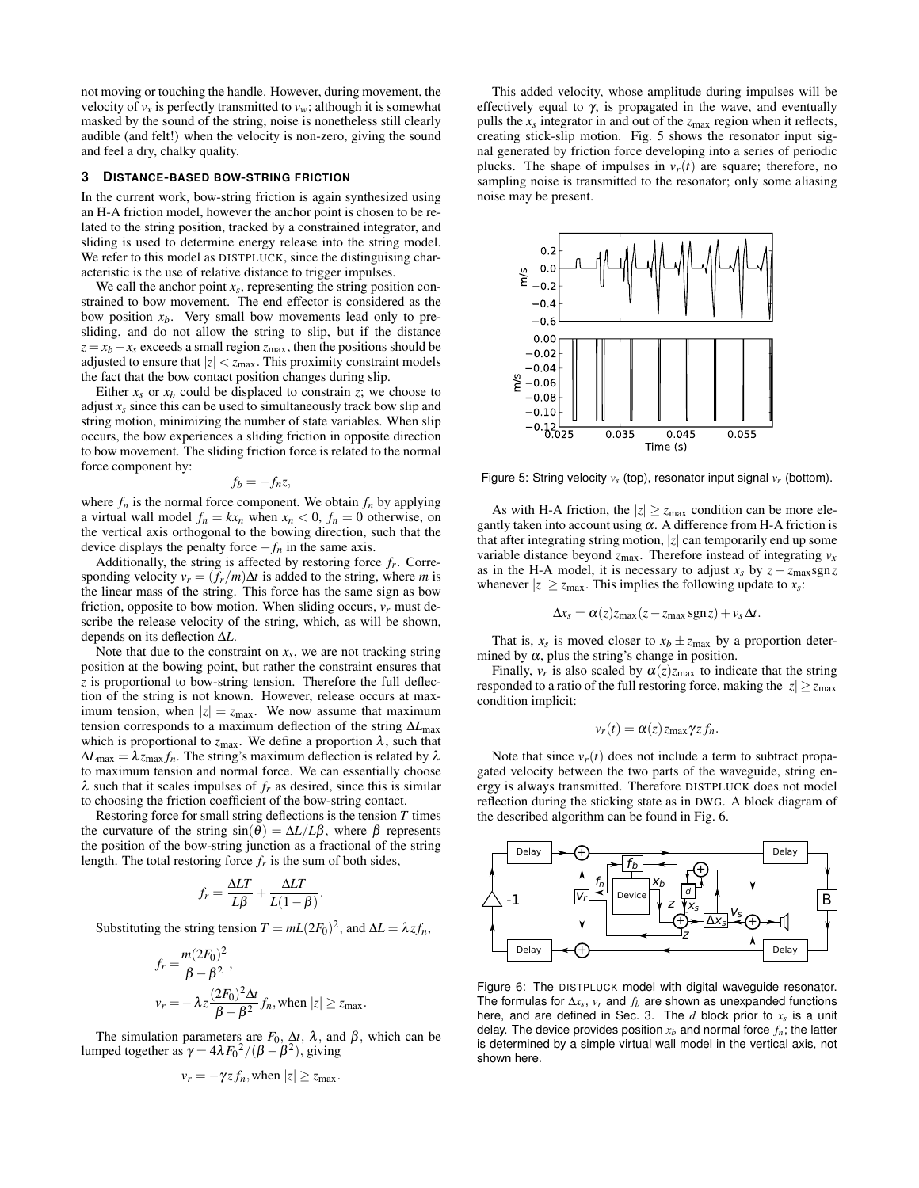not moving or touching the handle. However, during movement, the velocity of  $v_x$  is perfectly transmitted to  $v_w$ ; although it is somewhat masked by the sound of the string, noise is nonetheless still clearly audible (and felt!) when the velocity is non-zero, giving the sound and feel a dry, chalky quality.

## **3 DISTANCE-BASED BOW-STRING FRICTION**

In the current work, bow-string friction is again synthesized using an H-A friction model, however the anchor point is chosen to be related to the string position, tracked by a constrained integrator, and sliding is used to determine energy release into the string model. We refer to this model as DISTPLUCK, since the distinguising characteristic is the use of relative distance to trigger impulses.

We call the anchor point  $x_s$ , representing the string position constrained to bow movement. The end effector is considered as the bow position  $x<sub>b</sub>$ . Very small bow movements lead only to presliding, and do not allow the string to slip, but if the distance  $z = x_b - x_s$  exceeds a small region  $z_{\text{max}}$ , then the positions should be adjusted to ensure that  $|z| < z_{\text{max}}$ . This proximity constraint models the fact that the bow contact position changes during slip.

Either  $x_s$  or  $x_b$  could be displaced to constrain *z*; we choose to adjust  $x<sub>s</sub>$  since this can be used to simultaneously track bow slip and string motion, minimizing the number of state variables. When slip occurs, the bow experiences a sliding friction in opposite direction to bow movement. The sliding friction force is related to the normal force component by:

$$
f_b = -f_n z,
$$

where  $f_n$  is the normal force component. We obtain  $f_n$  by applying a virtual wall model  $f_n = kx_n$  when  $x_n < 0$ ,  $f_n = 0$  otherwise, on the vertical axis orthogonal to the bowing direction, such that the device displays the penalty force  $-f_n$  in the same axis.

Additionally, the string is affected by restoring force *fr*. Corresponding velocity  $v_r = (f_r/m)\Delta t$  is added to the string, where *m* is the linear mass of the string. This force has the same sign as bow friction, opposite to bow motion. When sliding occurs,  $v_r$  must describe the release velocity of the string, which, as will be shown, depends on its deflection ∆*L*.

Note that due to the constraint on  $x<sub>s</sub>$ , we are not tracking string position at the bowing point, but rather the constraint ensures that *z* is proportional to bow-string tension. Therefore the full deflection of the string is not known. However, release occurs at maximum tension, when  $|z| = z_{\text{max}}$ . We now assume that maximum tension corresponds to a maximum deflection of the string ∆*L*max which is proportional to  $z_{\text{max}}$ . We define a proportion  $\lambda$ , such that  $\Delta L_{\text{max}} = \lambda z_{\text{max}} f_n$ . The string's maximum deflection is related by  $\lambda$ to maximum tension and normal force. We can essentially choose  $\lambda$  such that it scales impulses of  $f_r$  as desired, since this is similar to choosing the friction coefficient of the bow-string contact.

Restoring force for small string deflections is the tension *T* times the curvature of the string  $sin(\theta) = \Delta L/L\beta$ , where  $\beta$  represents the position of the bow-string junction as a fractional of the string length. The total restoring force  $f_r$  is the sum of both sides,

$$
f_r = \frac{\Delta LT}{L\beta} + \frac{\Delta LT}{L(1-\beta)}
$$

Substituting the string tension  $T = mL(2F_0)^2$ , and  $\Delta L = \lambda z f_n$ ,

.

$$
f_r = \frac{m(2F_0)^2}{\beta - \beta^2},
$$
  

$$
v_r = -\lambda z \frac{(2F_0)^2 \Delta t}{\beta - \beta^2} f_n
$$
, when  $|z| \ge z_{\text{max}}$ .

The simulation parameters are  $F_0$ ,  $\Delta t$ ,  $\lambda$ , and  $\beta$ , which can be lumped together as  $\gamma = 4\lambda F_0^2/(\beta - \beta^2)$ , giving

$$
v_r = -\gamma z f_n, \text{when } |z| \ge z_{\text{max}}.
$$

This added velocity, whose amplitude during impulses will be effectively equal to  $\gamma$ , is propagated in the wave, and eventually pulls the  $x_s$  integrator in and out of the  $z_{\text{max}}$  region when it reflects, creating stick-slip motion. Fig. 5 shows the resonator input signal generated by friction force developing into a series of periodic plucks. The shape of impulses in  $v_r(t)$  are square; therefore, no sampling noise is transmitted to the resonator; only some aliasing noise may be present.



Figure 5: String velocity  $v_s$  (top), resonator input signal  $v_r$  (bottom).

As with H-A friction, the  $|z| \ge z_{\text{max}}$  condition can be more elegantly taken into account using  $\alpha$ . A difference from H-A friction is that after integrating string motion, |*z*| can temporarily end up some variable distance beyond  $z_{\text{max}}$ . Therefore instead of integrating  $v_x$ as in the H-A model, it is necessary to adjust  $x_s$  by  $z - z_{\text{max}}$ sgn*z* whenever  $|z| \ge z_{\text{max}}$ . This implies the following update to  $x_s$ :

$$
\Delta x_s = \alpha(z) z_{\text{max}} (z - z_{\text{max}} \text{sgn} z) + v_s \Delta t.
$$

That is,  $x_s$  is moved closer to  $x_b \pm z_{\text{max}}$  by a proportion determined by  $\alpha$ , plus the string's change in position.

Finally,  $v_r$  is also scaled by  $\alpha(z)z_{\text{max}}$  to indicate that the string responded to a ratio of the full restoring force, making the  $|z| \ge z_{\text{max}}$ condition implicit:

$$
v_r(t) = \alpha(z) z_{\text{max}} \gamma z f_n.
$$

Note that since  $v_r(t)$  does not include a term to subtract propagated velocity between the two parts of the waveguide, string energy is always transmitted. Therefore DISTPLUCK does not model reflection during the sticking state as in DWG. A block diagram of the described algorithm can be found in Fig. 6.



Figure 6: The DISTPLUCK model with digital waveguide resonator. The formulas for ∆*x<sup>s</sup>* , *v<sup>r</sup>* and *f<sup>b</sup>* are shown as unexpanded functions here, and are defined in Sec. 3. The *d* block prior to *x<sup>s</sup>* is a unit delay. The device provides position  $x_b$  and normal force  $f_n$ ; the latter is determined by a simple virtual wall model in the vertical axis, not shown here.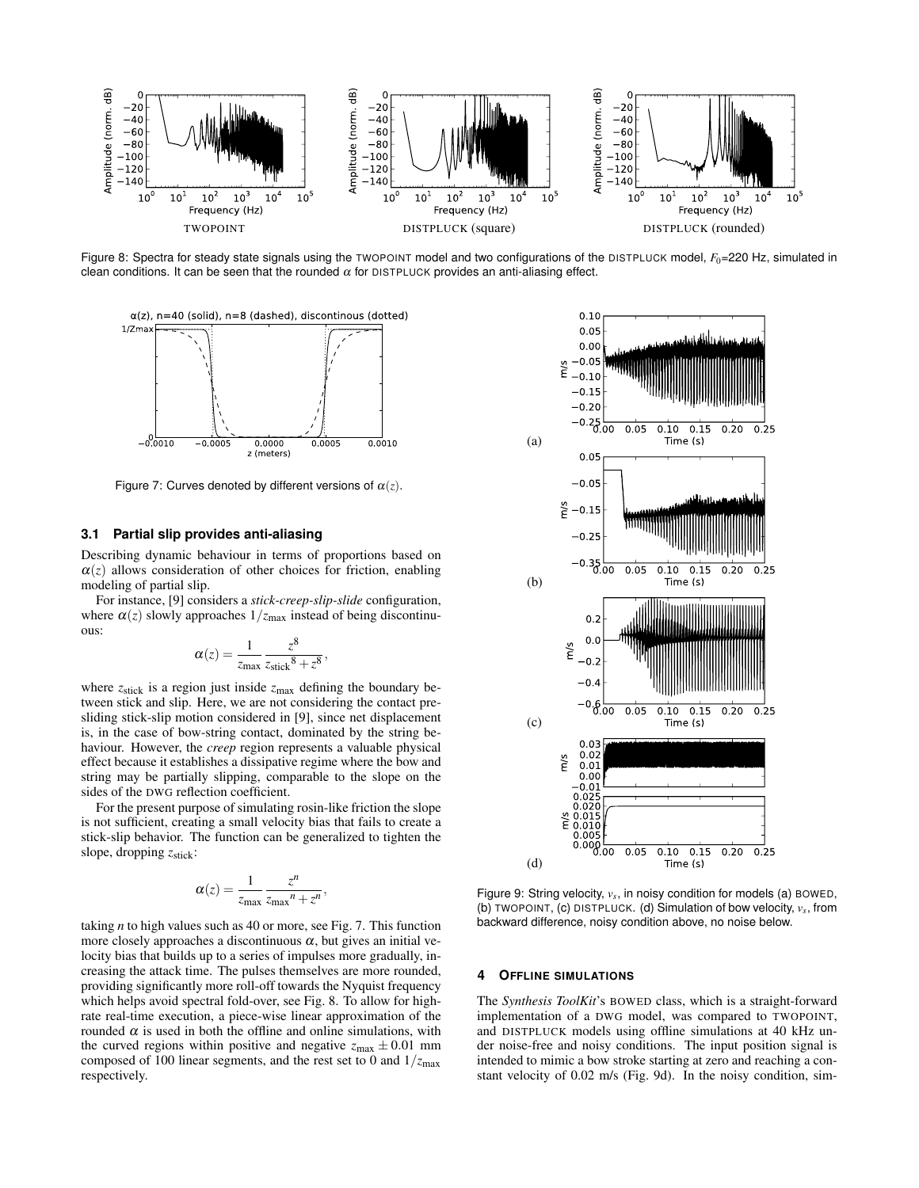

Figure 8: Spectra for steady state signals using the TWOPOINT model and two configurations of the DISTPLUCK model,  $F_0$ =220 Hz, simulated in clean conditions. It can be seen that the rounded  $\alpha$  for DISTPLUCK provides an anti-aliasing effect.



Figure 7: Curves denoted by different versions of  $\alpha(z)$ .

## **3.1 Partial slip provides anti-aliasing**

Describing dynamic behaviour in terms of proportions based on  $\alpha(z)$  allows consideration of other choices for friction, enabling modeling of partial slip.

For instance, [9] considers a *stick-creep-slip-slide* configuration, where  $\alpha(z)$  slowly approaches  $1/z_{\text{max}}$  instead of being discontinuous:

$$
\alpha(z) = \frac{1}{z_{\text{max}}} \frac{z^8}{z_{\text{stick}}^8 + z^8},
$$

where  $z_{\text{stick}}$  is a region just inside  $z_{\text{max}}$  defining the boundary between stick and slip. Here, we are not considering the contact presliding stick-slip motion considered in [9], since net displacement is, in the case of bow-string contact, dominated by the string behaviour. However, the *creep* region represents a valuable physical effect because it establishes a dissipative regime where the bow and string may be partially slipping, comparable to the slope on the sides of the DWG reflection coefficient.

For the present purpose of simulating rosin-like friction the slope is not sufficient, creating a small velocity bias that fails to create a stick-slip behavior. The function can be generalized to tighten the slope, dropping  $z_{\text{stick}}$ :

$$
\alpha(z) = \frac{1}{z_{\text{max}}} \frac{z^n}{z_{\text{max}}^n + z^n},
$$

taking *n* to high values such as 40 or more, see Fig. 7. This function more closely approaches a discontinuous  $\alpha$ , but gives an initial velocity bias that builds up to a series of impulses more gradually, increasing the attack time. The pulses themselves are more rounded, providing significantly more roll-off towards the Nyquist frequency which helps avoid spectral fold-over, see Fig. 8. To allow for highrate real-time execution, a piece-wise linear approximation of the rounded  $\alpha$  is used in both the offline and online simulations, with the curved regions within positive and negative  $z_{\text{max}} \pm 0.01$  mm composed of 100 linear segments, and the rest set to 0 and  $1/z_{\text{max}}$ respectively.



Figure 9: String velocity,  $v_s$ , in noisy condition for models (a) BOWED, (b) TWOPOINT, (c) DISTPLUCK. (d) Simulation of bow velocity, *v<sup>s</sup>* , from backward difference, noisy condition above, no noise below.

## **4 OFFLINE SIMULATIONS**

The *Synthesis ToolKit*'s BOWED class, which is a straight-forward implementation of a DWG model, was compared to TWOPOINT, and DISTPLUCK models using offline simulations at 40 kHz under noise-free and noisy conditions. The input position signal is intended to mimic a bow stroke starting at zero and reaching a constant velocity of 0.02 m/s (Fig. 9d). In the noisy condition, sim-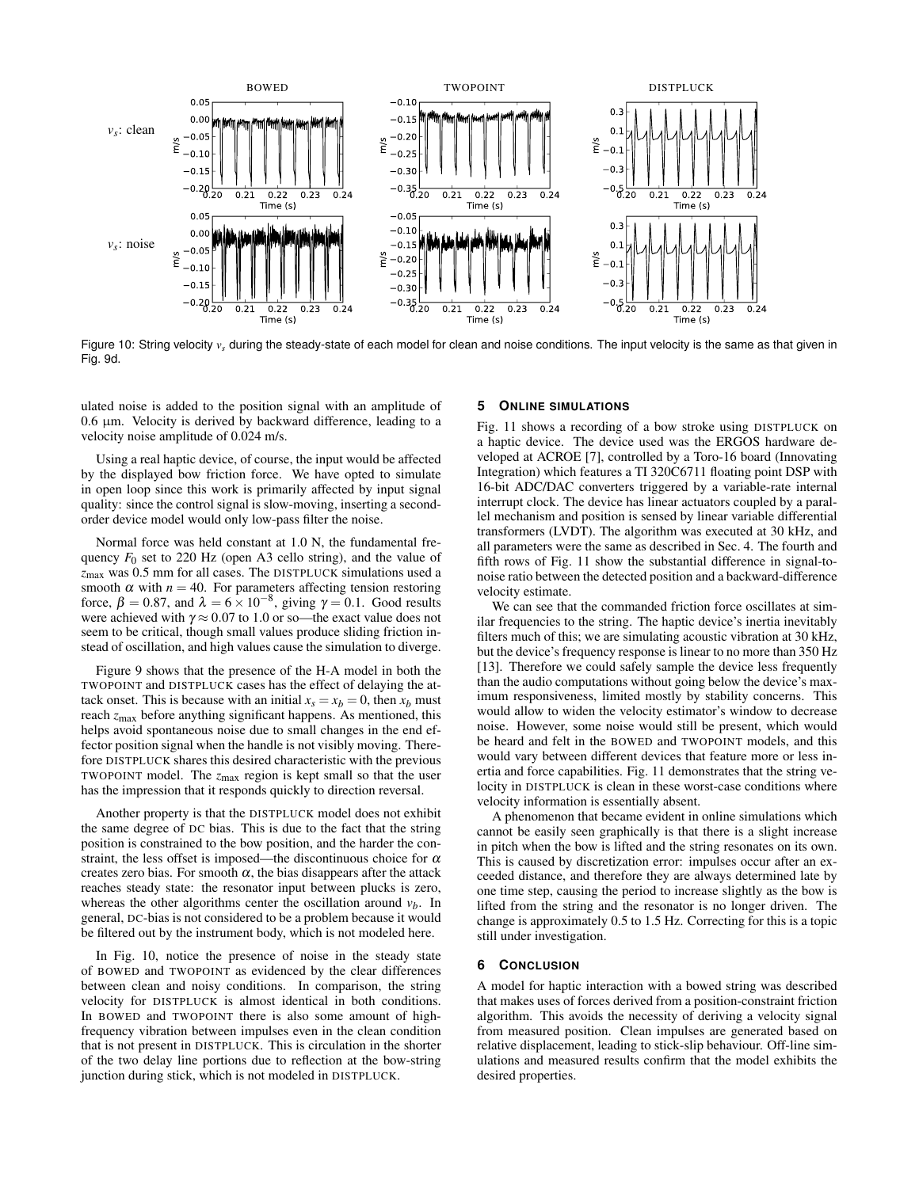

Figure 10: String velocity  $v_s$  during the steady-state of each model for clean and noise conditions. The input velocity is the same as that given in Fig. 9d.

ulated noise is added to the position signal with an amplitude of  $0.6 \mu m$ . Velocity is derived by backward difference, leading to a velocity noise amplitude of 0.024 m/s.

Using a real haptic device, of course, the input would be affected by the displayed bow friction force. We have opted to simulate in open loop since this work is primarily affected by input signal quality: since the control signal is slow-moving, inserting a secondorder device model would only low-pass filter the noise.

Normal force was held constant at 1.0 N, the fundamental frequency  $F_0$  set to 220 Hz (open A3 cello string), and the value of *z*max was 0.5 mm for all cases. The DISTPLUCK simulations used a smooth  $\alpha$  with  $n = 40$ . For parameters affecting tension restoring force,  $\beta = 0.87$ , and  $\lambda = 6 \times 10^{-8}$ , giving  $\gamma = 0.1$ . Good results were achieved with  $\gamma \approx 0.07$  to 1.0 or so—the exact value does not seem to be critical, though small values produce sliding friction instead of oscillation, and high values cause the simulation to diverge.

Figure 9 shows that the presence of the H-A model in both the TWOPOINT and DISTPLUCK cases has the effect of delaying the attack onset. This is because with an initial  $x_s = x_b = 0$ , then  $x_b$  must reach  $z_{\text{max}}$  before anything significant happens. As mentioned, this helps avoid spontaneous noise due to small changes in the end effector position signal when the handle is not visibly moving. Therefore DISTPLUCK shares this desired characteristic with the previous TWOPOINT model. The *z*max region is kept small so that the user has the impression that it responds quickly to direction reversal.

Another property is that the DISTPLUCK model does not exhibit the same degree of DC bias. This is due to the fact that the string position is constrained to the bow position, and the harder the constraint, the less offset is imposed—the discontinuous choice for  $\alpha$ creates zero bias. For smooth  $\alpha$ , the bias disappears after the attack reaches steady state: the resonator input between plucks is zero, whereas the other algorithms center the oscillation around  $v<sub>b</sub>$ . In general, DC-bias is not considered to be a problem because it would be filtered out by the instrument body, which is not modeled here.

In Fig. 10, notice the presence of noise in the steady state of BOWED and TWOPOINT as evidenced by the clear differences between clean and noisy conditions. In comparison, the string velocity for DISTPLUCK is almost identical in both conditions. In BOWED and TWOPOINT there is also some amount of highfrequency vibration between impulses even in the clean condition that is not present in DISTPLUCK. This is circulation in the shorter of the two delay line portions due to reflection at the bow-string junction during stick, which is not modeled in DISTPLUCK.

#### **5 ONLINE SIMULATIONS**

Fig. 11 shows a recording of a bow stroke using DISTPLUCK on a haptic device. The device used was the ERGOS hardware developed at ACROE [7], controlled by a Toro-16 board (Innovating Integration) which features a TI 320C6711 floating point DSP with 16-bit ADC/DAC converters triggered by a variable-rate internal interrupt clock. The device has linear actuators coupled by a parallel mechanism and position is sensed by linear variable differential transformers (LVDT). The algorithm was executed at 30 kHz, and all parameters were the same as described in Sec. 4. The fourth and fifth rows of Fig. 11 show the substantial difference in signal-tonoise ratio between the detected position and a backward-difference velocity estimate.

We can see that the commanded friction force oscillates at similar frequencies to the string. The haptic device's inertia inevitably filters much of this; we are simulating acoustic vibration at 30 kHz, but the device's frequency response is linear to no more than 350 Hz [13]. Therefore we could safely sample the device less frequently than the audio computations without going below the device's maximum responsiveness, limited mostly by stability concerns. This would allow to widen the velocity estimator's window to decrease noise. However, some noise would still be present, which would be heard and felt in the BOWED and TWOPOINT models, and this would vary between different devices that feature more or less inertia and force capabilities. Fig. 11 demonstrates that the string velocity in DISTPLUCK is clean in these worst-case conditions where velocity information is essentially absent.

A phenomenon that became evident in online simulations which cannot be easily seen graphically is that there is a slight increase in pitch when the bow is lifted and the string resonates on its own. This is caused by discretization error: impulses occur after an exceeded distance, and therefore they are always determined late by one time step, causing the period to increase slightly as the bow is lifted from the string and the resonator is no longer driven. The change is approximately 0.5 to 1.5 Hz. Correcting for this is a topic still under investigation.

# **6 CONCLUSION**

A model for haptic interaction with a bowed string was described that makes uses of forces derived from a position-constraint friction algorithm. This avoids the necessity of deriving a velocity signal from measured position. Clean impulses are generated based on relative displacement, leading to stick-slip behaviour. Off-line simulations and measured results confirm that the model exhibits the desired properties.